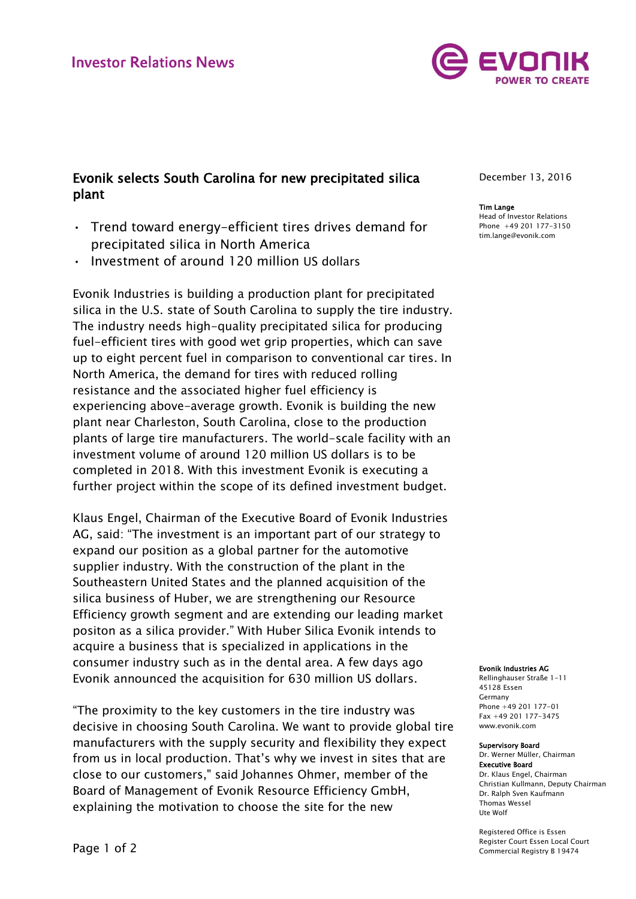

# Evonik selects South Carolina for new precipitated silica plant

- Trend toward energy-efficient tires drives demand for precipitated silica in North America
- Investment of around 120 million US dollars

Evonik Industries is building a production plant for precipitated silica in the U.S. state of South Carolina to supply the tire industry. The industry needs high-quality precipitated silica for producing fuel-efficient tires with good wet grip properties, which can save up to eight percent fuel in comparison to conventional car tires. In North America, the demand for tires with reduced rolling resistance and the associated higher fuel efficiency is experiencing above-average growth. Evonik is building the new plant near Charleston, South Carolina, close to the production plants of large tire manufacturers. The world-scale facility with an investment volume of around 120 million US dollars is to be completed in 2018. With this investment Evonik is executing a further project within the scope of its defined investment budget.

Klaus Engel, Chairman of the Executive Board of Evonik Industries AG, said: "The investment is an important part of our strategy to expand our position as a global partner for the automotive supplier industry. With the construction of the plant in the Southeastern United States and the planned acquisition of the silica business of Huber, we are strengthening our Resource Efficiency growth segment and are extending our leading market positon as a silica provider." With Huber Silica Evonik intends to acquire a business that is specialized in applications in the consumer industry such as in the dental area. A few days ago Evonik announced the acquisition for 630 million US dollars.

"The proximity to the key customers in the tire industry was decisive in choosing South Carolina. We want to provide global tire manufacturers with the supply security and flexibility they expect from us in local production. That's why we invest in sites that are close to our customers," said Johannes Ohmer, member of the Board of Management of Evonik Resource Efficiency GmbH, explaining the motivation to choose the site for the new

December 13, 2016

## Tim Lange

Head of Investor Relations Phone +49 201 177-3150 tim.lange@evonik.com

### Evonik Industries AG

Rellinghauser Straße 1-11 45128 Essen Germany Phone +49 201 177-01 Fax +49 201 177-3475 www.evonik.com

#### Supervisory Board

Dr. Werner Müller, Chairman Executive Board Dr. Klaus Engel, Chairman Christian Kullmann, Deputy Chairman Dr. Ralph Sven Kaufmann Thomas Wessel Ute Wolf

Registered Office is Essen Register Court Essen Local Court Commercial Registry B 19474